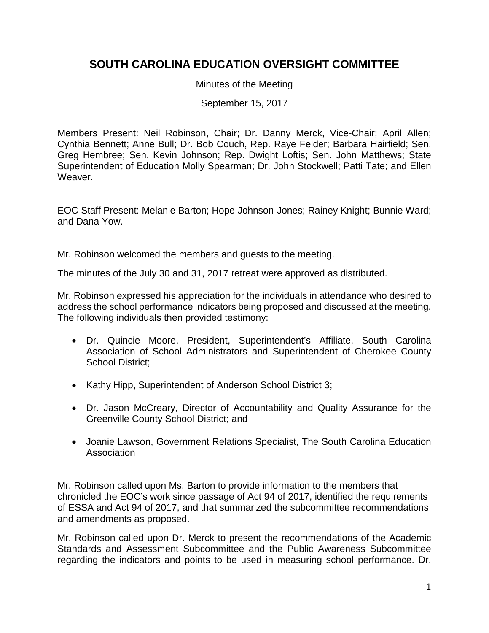## **SOUTH CAROLINA EDUCATION OVERSIGHT COMMITTEE**

Minutes of the Meeting

September 15, 2017

Members Present: Neil Robinson, Chair; Dr. Danny Merck, Vice-Chair; April Allen; Cynthia Bennett; Anne Bull; Dr. Bob Couch, Rep. Raye Felder; Barbara Hairfield; Sen. Greg Hembree; Sen. Kevin Johnson; Rep. Dwight Loftis; Sen. John Matthews; State Superintendent of Education Molly Spearman; Dr. John Stockwell; Patti Tate; and Ellen Weaver.

EOC Staff Present: Melanie Barton; Hope Johnson-Jones; Rainey Knight; Bunnie Ward; and Dana Yow.

Mr. Robinson welcomed the members and guests to the meeting.

The minutes of the July 30 and 31, 2017 retreat were approved as distributed.

Mr. Robinson expressed his appreciation for the individuals in attendance who desired to address the school performance indicators being proposed and discussed at the meeting. The following individuals then provided testimony:

- Dr. Quincie Moore, President, Superintendent's Affiliate, South Carolina Association of School Administrators and Superintendent of Cherokee County School District:
- Kathy Hipp, Superintendent of Anderson School District 3;
- Dr. Jason McCreary, Director of Accountability and Quality Assurance for the Greenville County School District; and
- Joanie Lawson, Government Relations Specialist, The South Carolina Education Association

Mr. Robinson called upon Ms. Barton to provide information to the members that chronicled the EOC's work since passage of Act 94 of 2017, identified the requirements of ESSA and Act 94 of 2017, and that summarized the subcommittee recommendations and amendments as proposed.

Mr. Robinson called upon Dr. Merck to present the recommendations of the Academic Standards and Assessment Subcommittee and the Public Awareness Subcommittee regarding the indicators and points to be used in measuring school performance. Dr.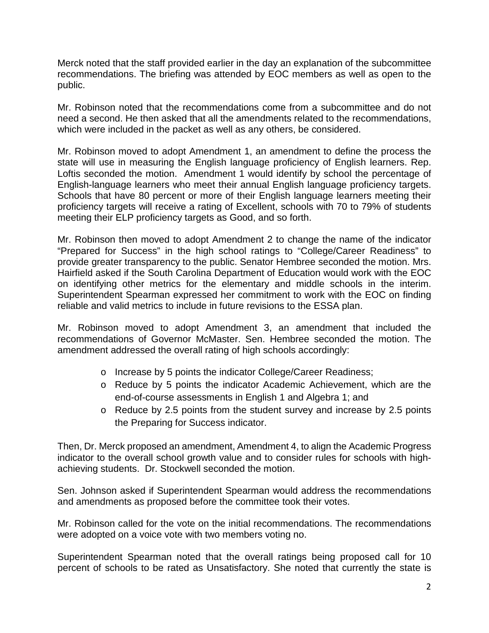Merck noted that the staff provided earlier in the day an explanation of the subcommittee recommendations. The briefing was attended by EOC members as well as open to the public.

Mr. Robinson noted that the recommendations come from a subcommittee and do not need a second. He then asked that all the amendments related to the recommendations, which were included in the packet as well as any others, be considered.

Mr. Robinson moved to adopt Amendment 1, an amendment to define the process the state will use in measuring the English language proficiency of English learners. Rep. Loftis seconded the motion. Amendment 1 would identify by school the percentage of English-language learners who meet their annual English language proficiency targets. Schools that have 80 percent or more of their English language learners meeting their proficiency targets will receive a rating of Excellent, schools with 70 to 79% of students meeting their ELP proficiency targets as Good, and so forth.

Mr. Robinson then moved to adopt Amendment 2 to change the name of the indicator "Prepared for Success" in the high school ratings to "College/Career Readiness" to provide greater transparency to the public. Senator Hembree seconded the motion. Mrs. Hairfield asked if the South Carolina Department of Education would work with the EOC on identifying other metrics for the elementary and middle schools in the interim. Superintendent Spearman expressed her commitment to work with the EOC on finding reliable and valid metrics to include in future revisions to the ESSA plan.

Mr. Robinson moved to adopt Amendment 3, an amendment that included the recommendations of Governor McMaster. Sen. Hembree seconded the motion. The amendment addressed the overall rating of high schools accordingly:

- o Increase by 5 points the indicator College/Career Readiness;
- o Reduce by 5 points the indicator Academic Achievement, which are the end-of-course assessments in English 1 and Algebra 1; and
- o Reduce by 2.5 points from the student survey and increase by 2.5 points the Preparing for Success indicator.

Then, Dr. Merck proposed an amendment, Amendment 4, to align the Academic Progress indicator to the overall school growth value and to consider rules for schools with highachieving students. Dr. Stockwell seconded the motion.

Sen. Johnson asked if Superintendent Spearman would address the recommendations and amendments as proposed before the committee took their votes.

Mr. Robinson called for the vote on the initial recommendations. The recommendations were adopted on a voice vote with two members voting no.

Superintendent Spearman noted that the overall ratings being proposed call for 10 percent of schools to be rated as Unsatisfactory. She noted that currently the state is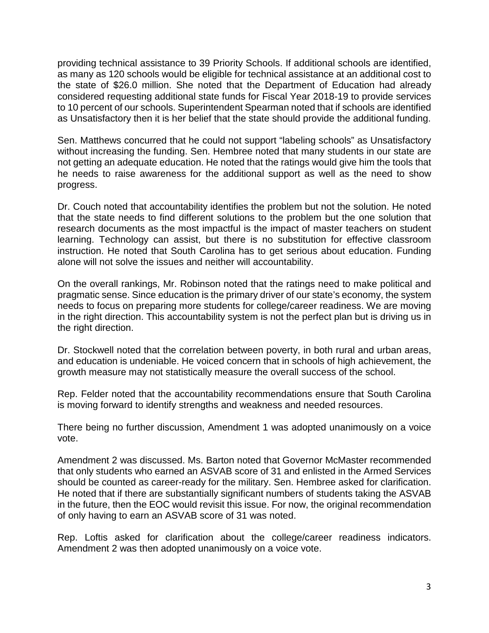providing technical assistance to 39 Priority Schools. If additional schools are identified, as many as 120 schools would be eligible for technical assistance at an additional cost to the state of \$26.0 million. She noted that the Department of Education had already considered requesting additional state funds for Fiscal Year 2018-19 to provide services to 10 percent of our schools. Superintendent Spearman noted that if schools are identified as Unsatisfactory then it is her belief that the state should provide the additional funding.

Sen. Matthews concurred that he could not support "labeling schools" as Unsatisfactory without increasing the funding. Sen. Hembree noted that many students in our state are not getting an adequate education. He noted that the ratings would give him the tools that he needs to raise awareness for the additional support as well as the need to show progress.

Dr. Couch noted that accountability identifies the problem but not the solution. He noted that the state needs to find different solutions to the problem but the one solution that research documents as the most impactful is the impact of master teachers on student learning. Technology can assist, but there is no substitution for effective classroom instruction. He noted that South Carolina has to get serious about education. Funding alone will not solve the issues and neither will accountability.

On the overall rankings, Mr. Robinson noted that the ratings need to make political and pragmatic sense. Since education is the primary driver of our state's economy, the system needs to focus on preparing more students for college/career readiness. We are moving in the right direction. This accountability system is not the perfect plan but is driving us in the right direction.

Dr. Stockwell noted that the correlation between poverty, in both rural and urban areas, and education is undeniable. He voiced concern that in schools of high achievement, the growth measure may not statistically measure the overall success of the school.

Rep. Felder noted that the accountability recommendations ensure that South Carolina is moving forward to identify strengths and weakness and needed resources.

There being no further discussion, Amendment 1 was adopted unanimously on a voice vote.

Amendment 2 was discussed. Ms. Barton noted that Governor McMaster recommended that only students who earned an ASVAB score of 31 and enlisted in the Armed Services should be counted as career-ready for the military. Sen. Hembree asked for clarification. He noted that if there are substantially significant numbers of students taking the ASVAB in the future, then the EOC would revisit this issue. For now, the original recommendation of only having to earn an ASVAB score of 31 was noted.

Rep. Loftis asked for clarification about the college/career readiness indicators. Amendment 2 was then adopted unanimously on a voice vote.